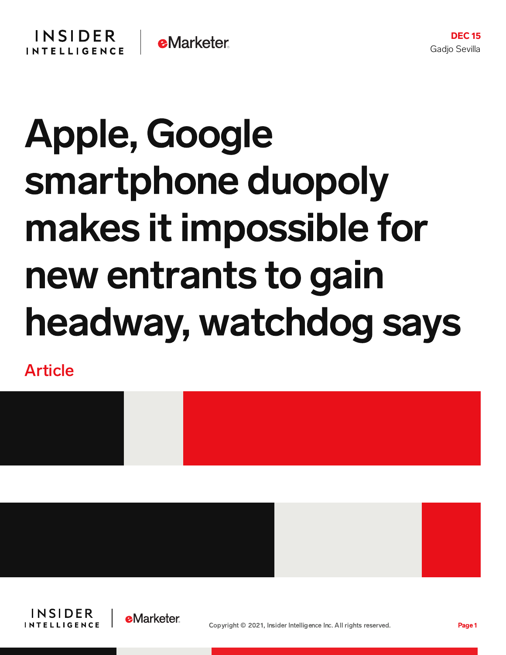## Apple, Google smartphone duopoly makes it impossible for new entrants to gain headway, watchdog says

Article







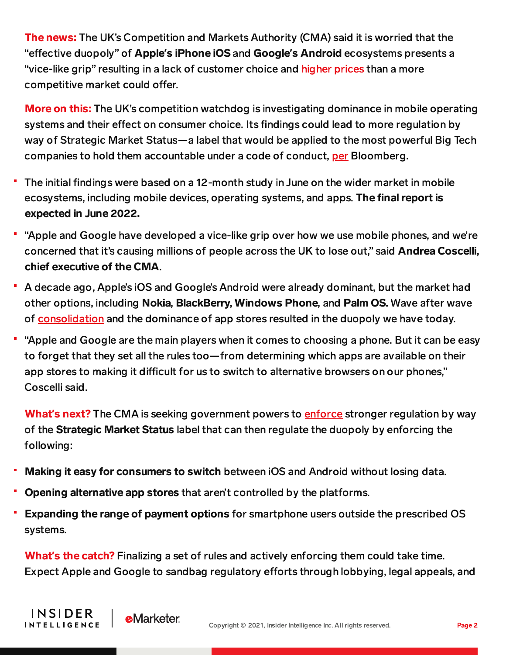The news: The UK's Competition and Markets Authority (CMA) said it is worried that the "effective duopoly" of **Apple's iPhone iOS** and **Google's Android** ecosystems presents a "vice-like grip" resulting in a lack of customer choice and [higher](https://content-na2.emarketer.com/global-scrutiny-on-app-store-duopoly-could-fuel-open-markets-act-momentum) prices than a more competitive market could offer.

More on this: The UK's competition watchdog is investigating dominance in mobile operating systems and their effect on consumer choice. Its findings could lead to more regulation by way of Strategic Market Status—a label that would be applied to the most powerful Big Tech companies to hold them accountable under a code of conduct, [per](https://www.bloomberg.com/news/articles/2021-12-14/apple-and-google-hold-a-vice-like-grip-on-mobile-market-cma?srnd=technology-vp) Bloomberg.

- The initial findings were based on a 12-month study in June on the wider market in mobile ecosystems, including mobile devices, operating systems, and apps. The final report is expected in June 2022.
- "Apple and Google have developed a vice-like grip over how we use mobile phones, and we're concerned that it's causing millions of people across the UK to lose out," said Andrea Coscelli, chief executive of the CMA.
- A decade ago, Apple's iOS and Google's Android were already dominant, but the market had other options, including Nokia, BlackBerry, Windows Phone, and Palm OS. Wave after wave of [consolidation](https://www.businessinsider.com/microsoft-buys-nokia-devices-2013-9) and the dominance of app stores resulted in the duopoly we have today.
- "Apple and Google are the main players when it comes to choosing a phone. But it can be easy to forget that they set all the rules too—from determining which apps are available on their app stores to making it difficult for us to switch to alternative browsers on our phones," Coscelli said.

What**'**s next? The CMA is seeking government powers to [enforce](https://www.gov.uk/government/news/apple-and-google-duopoly-limits-competition-and-choice) stronger regulation by way of the Strategic Market Status label that can then regulate the duopoly by enforcing the following:

- Making it easy for consumers to switch between iOS and Android without losing data.
- Opening alternative app stores that aren't controlled by the platforms.

**INSIDER** 

**INTELLIGENCE** 

Expanding the range of payment options for smartphone users outside the prescribed OS systems.

What**'**s the catch? Finalizing a set of rules and actively enforcing them could take time. Expect Apple and Google to sandbag regulatory efforts through lobbying, legal appeals, and